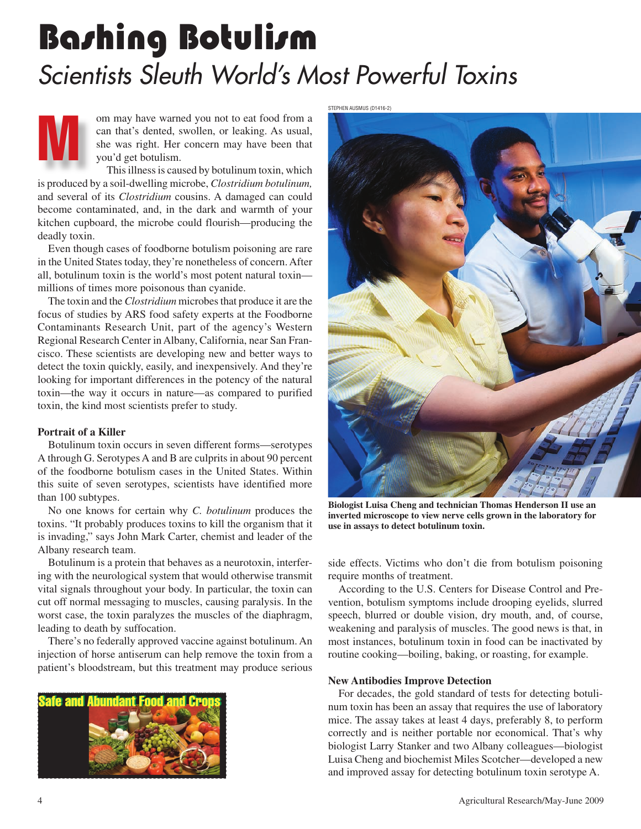# Bashing Botulism *Scientists Sleuth World's Most Powerful Toxins*

om may have warned you not to eat food from a<br>can that's dented, swollen, or leaking. As usual,<br>she was right. Her concern may have been that<br>vou'd get botulism. can that's dented, swollen, or leaking. As usual, she was right. Her concern may have been that you'd get botulism.

This illness is caused by botulinum toxin, which is produced by a soil-dwelling microbe, *Clostridium botulinum,* and several of its *Clostridium* cousins. A damaged can could become contaminated, and, in the dark and warmth of your kitchen cupboard, the microbe could flourish—producing the deadly toxin.

Even though cases of foodborne botulism poisoning are rare in the United States today, they're nonetheless of concern. After all, botulinum toxin is the world's most potent natural toxin millions of times more poisonous than cyanide.

The toxin and the *Clostridium* microbes that produce it are the focus of studies by ARS food safety experts at the Foodborne Contaminants Research Unit, part of the agency's Western Regional Research Center in Albany, California, near San Francisco. These scientists are developing new and better ways to detect the toxin quickly, easily, and inexpensively. And they're looking for important differences in the potency of the natural toxin—the way it occurs in nature—as compared to purified toxin, the kind most scientists prefer to study.

**Portrait of a Electronic Contract of a Killer Serverse Serverse Serverse Serverse Serverse Serverse Serverse Serverse Serverse Serverse Serverse Serverse Serverse Serverse Serverse Serverse Serverse Serverse Serverse Serv** A through G. Serotypes A and B are culprits in about 90 percent of the foodborne botulism cases in the United States. Within this suite of seven serotypes, scientists have identified more than 100 subtypes.

No one knows for certain why *C. botulinum* produces the toxins. "It probably produces toxins to kill the organism that it is invading," says John Mark Carter, chemist and leader of the Albany research team.

Botulinum is a protein that behaves as a neurotoxin, interfering with the neurological system that would otherwise transmit vital signals throughout your body. In particular, the toxin can cut off normal messaging to muscles, causing paralysis. In the worst case, the toxin paralyzes the muscles of the diaphragm, leading to death by suffocation.

There's no federally approved vaccine against botulinum. An injection of horse antiserum can help remove the toxin from a patient's bloodstream, but this treatment may produce serious



STEPHEN AUSMUS (D1416-2)



**Biologist Luisa Cheng and technician Thomas Henderson II use an inverted microscope to view nerve cells grown in the laboratory for use in assays to detect botulinum toxin.**

side effects. Victims who don't die from botulism poisoning require months of treatment.

According to the U.S. Centers for Disease Control and Prevention, botulism symptoms include drooping eyelids, slurred speech, blurred or double vision, dry mouth, and, of course, weakening and paralysis of muscles. The good news is that, in most instances, botulinum toxin in food can be inactivated by routine cooking—boiling, baking, or roasting, for example.

For decades, the gold standard of tests for detecting botulinum toxin has been an assay that requires the use of laboratory mice. The assay takes at least 4 days, preferably 8, to perform correctly and is neither portable nor economical. That's why biologist Larry Stanker and two Albany colleagues—biologist Luisa Cheng and biochemist Miles Scotcher—developed a new and improved assay for detecting botulinum toxin serotype A.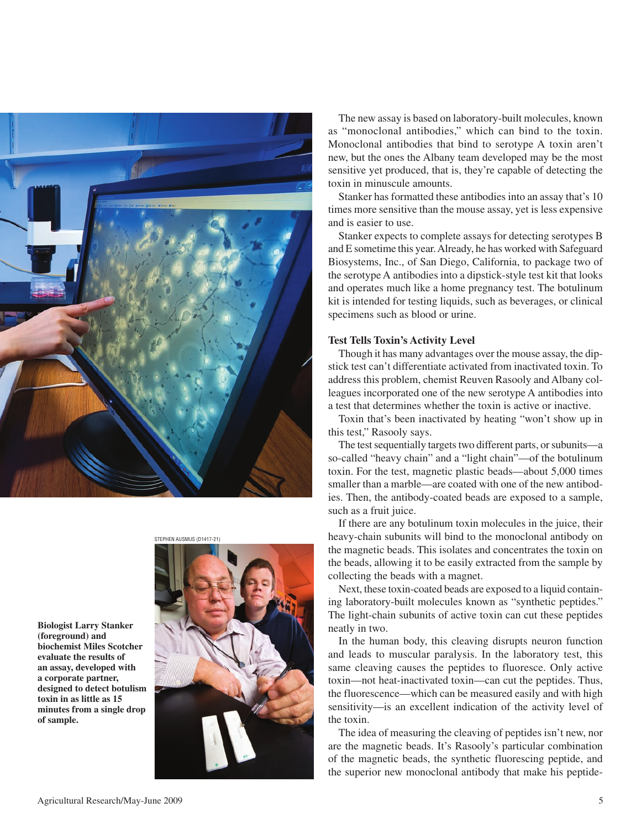

**Biologist Larry Stanker biochemist Miles Scotcher** evaluate the results of an assay, developed with a corporate partner, designed to detect botulism toxin in as little as 15 minutes from a single drop  $\mathbf{r}$  of sample. **of sample.** 



The new assay is based on laboratory-built molecules, known as "monoclonal antibodies," which can bind to the toxin. Monoclonal antibodies that bind to serotype A toxin aren't new, but the ones the Albany team developed may be the most sensitive yet produced, that is, they're capable of detecting the toxin in minuscule amounts.

Stanker has formatted these antibodies into an assay that's 10 times more sensitive than the mouse assay, yet is less expensive and is easier to use.

Stanker expects to complete assays for detecting serotypes B and E sometime this year. Already, he has worked with Safeguard Biosystems, Inc., of San Diego, California, to package two of the serotype A antibodies into a dipstick-style test kit that looks and operates much like a home pregnancy test. The botulinum kit is intended for testing liquids, such as beverages, or clinical specimens such as blood or urine.

Though it has many advantages over the mouse assay, the dipstick test can't differentiate activated from inactivated toxin. To address this problem, chemist Reuven Rasooly and Albany colleagues incorporated one of the new serotype A antibodies into a test that determines whether the toxin is active or inactive.

Toxin that's been inactivated by heating "won't show up in this test," Rasooly says.

The test sequentially targets two different parts, or subunits—a so-called "heavy chain" and a "light chain"—of the botulinum toxin. For the test, magnetic plastic beads—about 5,000 times smaller than a marble—are coated with one of the new antibodies. Then, the antibody-coated beads are exposed to a sample, such as a fruit juice.

If there are any botulinum toxin molecules in the juice, their heavy-chain subunits will bind to the monoclonal antibody on the magnetic beads. This isolates and concentrates the toxin on the beads, allowing it to be easily extracted from the sample by collecting the beads with a magnet.

Next, these toxin-coated beads are exposed to a liquid containing laboratory-built molecules known as "synthetic peptides." The light-chain subunits of active toxin can cut these peptides neatly in two.

In the human body, this cleaving disrupts neuron function and leads to muscular paralysis. In the laboratory test, this same cleaving causes the peptides to fluoresce. Only active toxin—not heat-inactivated toxin—can cut the peptides. Thus, the fluorescence—which can be measured easily and with high sensitivity—is an excellent indication of the activity level of the toxin.

The idea of measuring the cleaving of peptides isn't new, nor are the magnetic beads. It's Rasooly's particular combination of the magnetic beads, the synthetic fluorescing peptide, and the superior new monoclonal antibody that make his peptide